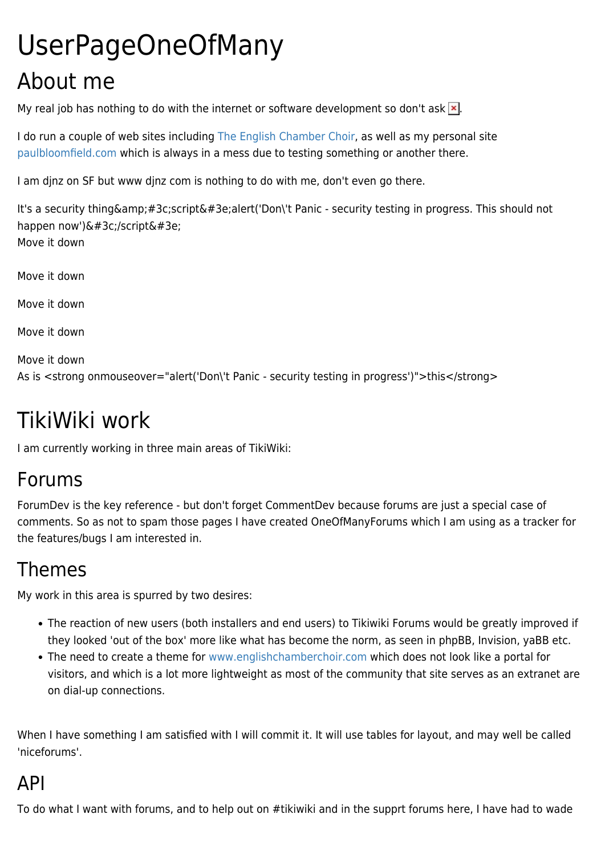# UserPageOneOfMany About me

My real job has nothing to do with the internet or software development so don't ask  $\mathbf{x}$ .

I do run a couple of web sites including [The English Chamber Choir](http://www.englishchamberchoir.com), as well as my personal site [paulbloomfield.com](http://www.paulbloomfield.com) which is always in a mess due to testing something or another there.

I am djnz on SF but www djnz com is nothing to do with me, don't even go there.

It's a security thing & amp; #3c;script & #3e;alert('Don\'t Panic - security testing in progress. This should not happen now')&#3c;/script&#3e; Move it down

Move it down

Move it down

Move it down

```
Move it down
As is <strong onmouseover="alert('Don\'t Panic - security testing in progress')">this</strong>
```
# TikiWiki work

I am currently working in three main areas of TikiWiki:

#### Forums

ForumDev is the key reference - but don't forget CommentDev because forums are just a special case of comments. So as not to spam those pages I have created OneOfManyForums which I am using as a tracker for the features/bugs I am interested in.

## Themes

My work in this area is spurred by two desires:

- The reaction of new users (both installers and end users) to Tikiwiki Forums would be greatly improved if they looked 'out of the box' more like what has become the norm, as seen in phpBB, Invision, yaBB etc.
- The need to create a theme for [www.englishchamberchoir.com](http://www.englishchamberchoir.com) which does not look like a portal for visitors, and which is a lot more lightweight as most of the community that site serves as an extranet are on dial-up connections.

When I have something I am satisfied with I will commit it. It will use tables for layout, and may well be called 'niceforums'.

## API

To do what I want with forums, and to help out on #tikiwiki and in the supprt forums here, I have had to wade